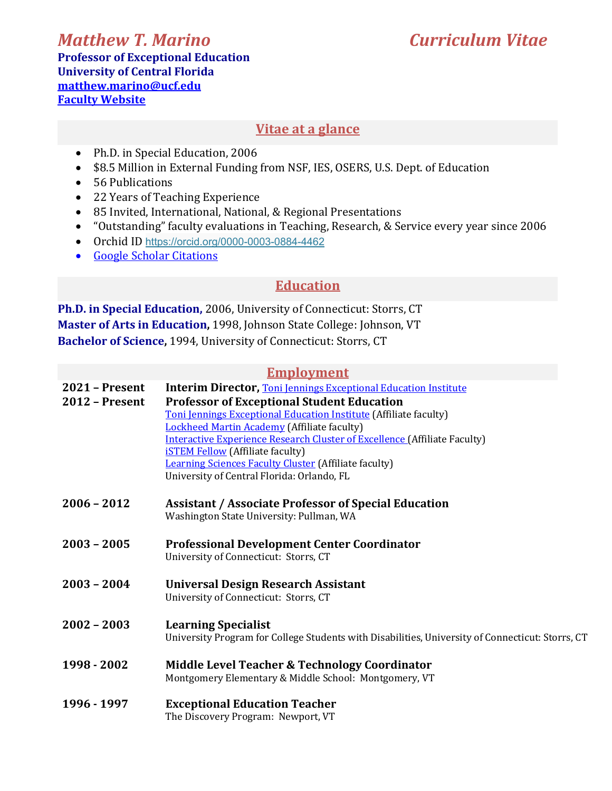# *Matthew T. Marino Curriculum Vitae*

**Professor of Exceptional Education University of Central Florida matthew.marino@ucf.edu Faculty Website** 

#### **Vitae at a glance**

- Ph.D. in Special Education, 2006
- \$8.5 Million in External Funding from NSF, IES, OSERS, U.S. Dept. of Education
- 56 Publications
- 22 Years of Teaching Experience
- 85 Invited, International, National, & Regional Presentations
- "Outstanding" faculty evaluations in Teaching, Research, & Service every year since 2006
- Orchid ID https://orcid.org/0000-0003-0884-4462
- Google Scholar Citations

## **Education**

**Ph.D. in Special Education,** 2006, University of Connecticut: Storrs, CT **Master of Arts in Education, 1998, Johnson State College: Johnson, VT Bachelor of Science, 1994, University of Connecticut: Storrs, CT** 

#### **Employment**

| <b>2021 - Present</b> | <b>Interim Director, Toni Jennings Exceptional Education Institute</b>                           |
|-----------------------|--------------------------------------------------------------------------------------------------|
| <b>2012 - Present</b> | <b>Professor of Exceptional Student Education</b>                                                |
|                       | Toni Jennings Exceptional Education Institute (Affiliate faculty)                                |
|                       | Lockheed Martin Academy (Affiliate faculty)                                                      |
|                       | <b>Interactive Experience Research Cluster of Excellence (Affiliate Faculty)</b>                 |
|                       | <b>iSTEM Fellow</b> (Affiliate faculty)                                                          |
|                       | Learning Sciences Faculty Cluster (Affiliate faculty)                                            |
|                       | University of Central Florida: Orlando, FL                                                       |
| $2006 - 2012$         |                                                                                                  |
|                       | <b>Assistant / Associate Professor of Special Education</b>                                      |
|                       | Washington State University: Pullman, WA                                                         |
| $2003 - 2005$         | <b>Professional Development Center Coordinator</b>                                               |
|                       | University of Connecticut: Storrs, CT                                                            |
| $2003 - 2004$         | <b>Universal Design Research Assistant</b>                                                       |
|                       | University of Connecticut: Storrs, CT                                                            |
|                       |                                                                                                  |
| $2002 - 2003$         | <b>Learning Specialist</b>                                                                       |
|                       | University Program for College Students with Disabilities, University of Connecticut: Storrs, CT |
| 1998 - 2002           | Middle Level Teacher & Technology Coordinator                                                    |
|                       | Montgomery Elementary & Middle School: Montgomery, VT                                            |
|                       |                                                                                                  |
| 1996 - 1997           | <b>Exceptional Education Teacher</b>                                                             |
|                       | The Discovery Program: Newport, VT                                                               |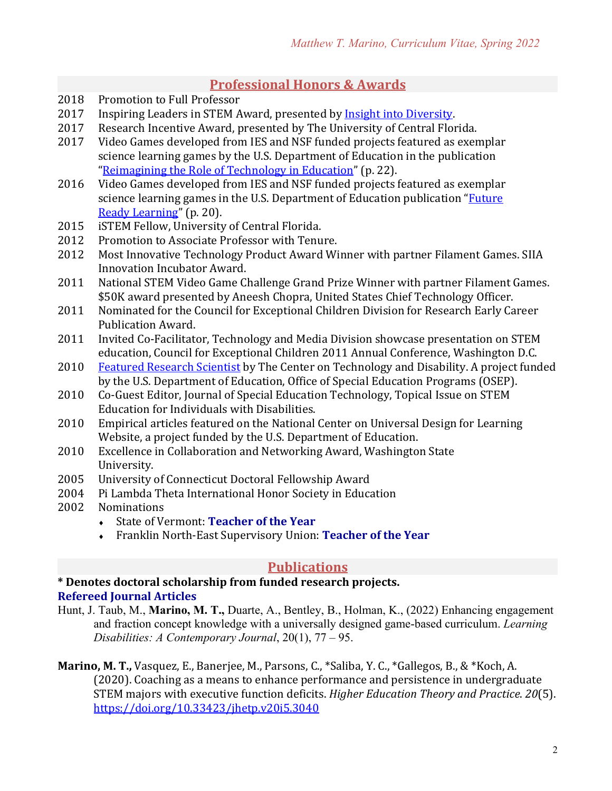### **Professional Honors & Awards**

- 2018 Promotion to Full Professor
- 2017 Inspiring Leaders in STEM Award, presented by Insight into Diversity.
- 2017 Research Incentive Award, presented by The University of Central Florida.
- 2017 Video Games developed from IES and NSF funded projects featured as exemplar science learning games by the U.S. Department of Education in the publication "Reimagining the Role of Technology in Education" (p. 22).
- 2016 Video Games developed from IES and NSF funded projects featured as exemplar science learning games in the U.S. Department of Education publication "Future" Ready Learning" (p. 20).
- 2015 **iSTEM Fellow, University of Central Florida.**
- 2012 Promotion to Associate Professor with Tenure.
- 2012 Most Innovative Technology Product Award Winner with partner Filament Games. SIIA Innovation Incubator Award.
- 2011 National STEM Video Game Challenge Grand Prize Winner with partner Filament Games. \$50K award presented by Aneesh Chopra, United States Chief Technology Officer.
- 2011 Nominated for the Council for Exceptional Children Division for Research Early Career Publication Award.
- 2011 Invited Co-Facilitator, Technology and Media Division showcase presentation on STEM education, Council for Exceptional Children 2011 Annual Conference, Washington D.C.
- 2010 Featured Research Scientist by The Center on Technology and Disability. A project funded by the U.S. Department of Education, Office of Special Education Programs (OSEP).
- 2010 Co-Guest Editor, Journal of Special Education Technology, Topical Issue on STEM Education for Individuals with Disabilities.
- 2010 Empirical articles featured on the National Center on Universal Design for Learning Website, a project funded by the U.S. Department of Education.
- 2010 Excellence in Collaboration and Networking Award, Washington State University.
- 2005 University of Connecticut Doctoral Fellowship Award
- 2004 Pi Lambda Theta International Honor Society in Education
- 2002 Nominations
	- State of Vermont: Teacher of the Year
	- Franklin North-East Supervisory Union: Teacher of the Year

#### **Publications**

#### **\* Denotes doctoral scholarship from funded research projects. Refereed Journal Articles**

Hunt, J. Taub, M., **Marino, M. T.,** Duarte, A., Bentley, B., Holman, K., (2022) Enhancing engagement and fraction concept knowledge with a universally designed game-based curriculum. *Learning Disabilities: A Contemporary Journal*, 20(1), 77 – 95.

**Marino, M. T.,** Vasquez, E., Banerjee, M., Parsons, C., \*Saliba, Y. C., \*Gallegos, B., & \*Koch, A. (2020). Coaching as a means to enhance performance and persistence in undergraduate STEM majors with executive function deficits. *Higher Education Theory and Practice*. 20(5). https://doi.org/10.33423/jhetp.v20i5.3040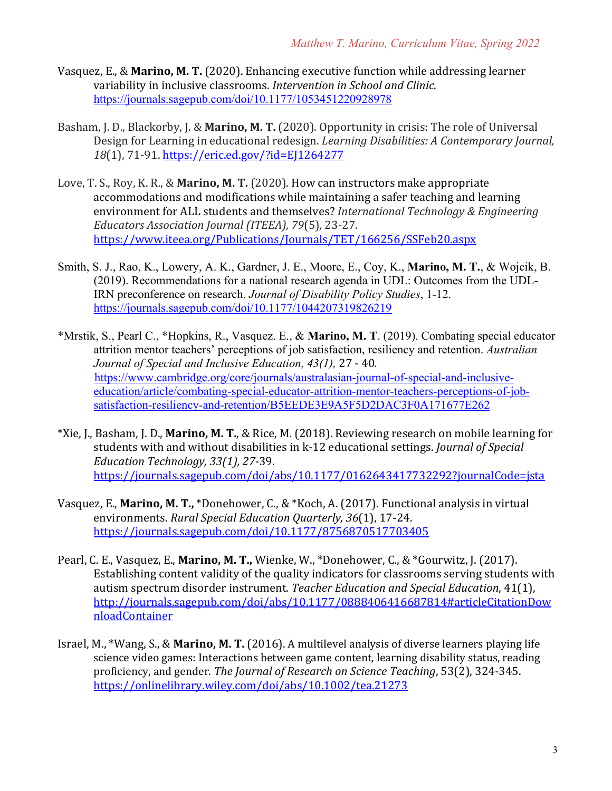- Vasquez, E., & **Marino, M. T.** (2020). Enhancing executive function while addressing learner variability in inclusive classrooms. *Intervention in School and Clinic*. https://journals.sagepub.com/doi/10.1177/1053451220928978
- Basham, J. D., Blackorby, J. & Marino, M. T. (2020). Opportunity in crisis: The role of Universal Design for Learning in educational redesign. *Learning Disabilities: A Contemporary Journal*, *18*(1), 71-91. https://eric.ed.gov/?id=EJ1264277
- Love, T. S., Roy, K. R., & **Marino, M. T.** (2020). How can instructors make appropriate accommodations and modifications while maintaining a safer teaching and learning environment for ALL students and themselves? *International Technology & Engineering Educators Association Journal (ITEEA), 79*(5)*,* 23-27. https://www.iteea.org/Publications/Journals/TET/166256/SSFeb20.aspx
- Smith, S. J., Rao, K., Lowery, A. K., Gardner, J. E., Moore, E., Coy, K., **Marino, M. T.**, & Wojcik, B. (2019). Recommendations for a national research agenda in UDL: Outcomes from the UDL-IRN preconference on research. *Journal of Disability Policy Studies*, 1-12. https://journals.sagepub.com/doi/10.1177/1044207319826219
- \*Mrstik, S., Pearl C., \*Hopkins, R., Vasquez. E., & **Marino, M. T**. (2019). Combating special educator attrition mentor teachers' perceptions of job satisfaction, resiliency and retention. *Australian Journal of Special and Inclusive Education, 43(1),* 27 - 40*.* https://www.cambridge.org/core/journals/australasian-journal-of-special-and-inclusiveeducation/article/combating-special-educator-attrition-mentor-teachers-perceptions-of-jobsatisfaction-resiliency-and-retention/B5EEDE3E9A5F5D2DAC3F0A171677E262
- \*Xie, J., Basham, J. D., **Marino, M. T.**, & Rice, M. (2018). Reviewing research on mobile learning for students with and without disabilities in k-12 educational settings. *Journal of Special* Education Technology, 33(1), 27-39. https://journals.sagepub.com/doi/abs/10.1177/0162643417732292?journalCode=jsta
- Vasquez, E., **Marino, M. T.,** \*Donehower, C., & \*Koch, A. (2017). Functional analysis in virtual environments. *Rural Special Education Quarterly, 36*(1), 17-24. https://journals.sagepub.com/doi/10.1177/8756870517703405
- Pearl, C. E., Vasquez, E., Marino, M. T., Wienke, W., \*Donehower, C., & \*Gourwitz, J. (2017). Establishing content validity of the quality indicators for classrooms serving students with autism spectrum disorder instrument. *Teacher Education and Special Education*, 41(1), http://journals.sagepub.com/doi/abs/10.1177/0888406416687814#articleCitationDow nloadContainer
- Israel, M., \*Wang, S., & **Marino, M. T.** (2016). A multilevel analysis of diverse learners playing life science video games: Interactions between game content, learning disability status, reading proficiency, and gender. The Journal of Research on Science Teaching, 53(2), 324-345. https://onlinelibrary.wiley.com/doi/abs/10.1002/tea.21273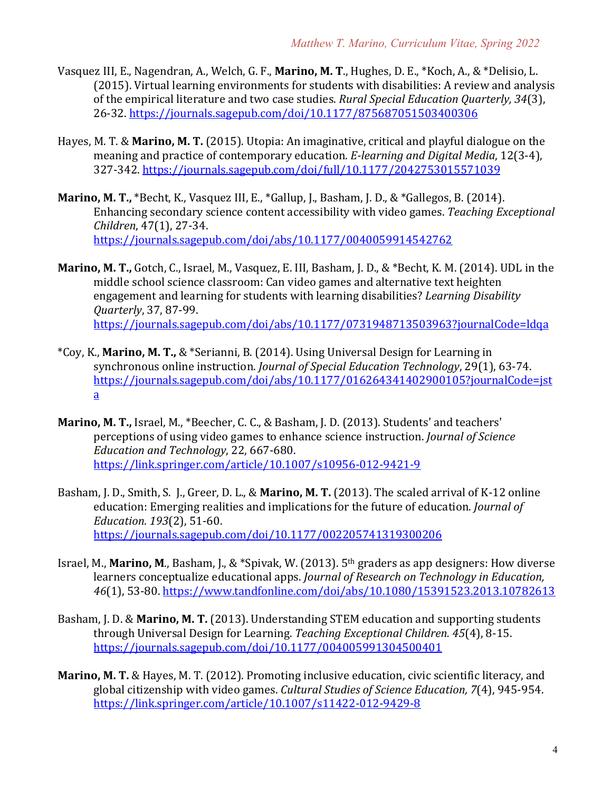- Vasquez III, E., Nagendran, A., Welch, G. F., Marino, M. T., Hughes, D. E., \*Koch, A., & \*Delisio, L. (2015). Virtual learning environments for students with disabilities: A review and analysis of the empirical literature and two case studies. *Rural Special Education Quarterly*, 34(3), 26-32. https://journals.sagepub.com/doi/10.1177/875687051503400306
- Hayes, M. T. & **Marino, M. T.** (2015). Utopia: An imaginative, critical and playful dialogue on the meaning and practice of contemporary education. *E-learning and Digital Media*, 12(3-4), 327-342. https://journals.sagepub.com/doi/full/10.1177/2042753015571039
- **Marino, M. T.,** \*Becht, K., Vasquez III, E., \*Gallup, J., Basham, J. D., & \*Gallegos, B. (2014). Enhancing secondary science content accessibility with video games. *Teaching Exceptional Children*, 47(1), 27-34. https://journals.sagepub.com/doi/abs/10.1177/0040059914542762
- **Marino, M. T.,** Gotch, C., Israel, M., Vasquez, E. III, Basham, J. D., & \*Becht, K. M. (2014). UDL in the middle school science classroom: Can video games and alternative text heighten engagement and learning for students with learning disabilities? *Learning Disability Quarterly*, 37, 87-99. https://journals.sagepub.com/doi/abs/10.1177/0731948713503963?journalCode=ldqa
- \*Coy, K., **Marino, M. T.,** & \*Serianni, B. (2014). Using Universal Design for Learning in synchronous online instruction. *Journal of Special Education Technology*, 29(1), 63-74. https://journals.sagepub.com/doi/abs/10.1177/016264341402900105?journalCode=jst a
- **Marino, M. T., Israel, M., \*Beecher, C. C., & Basham, J. D. (2013). Students' and teachers'** perceptions of using video games to enhance science instruction. *Journal of Science Education and Technology*, 22, 667-680. https://link.springer.com/article/10.1007/s10956-012-9421-9
- Basham, J. D., Smith, S. J., Greer, D. L., & Marino, M. T. (2013). The scaled arrival of K-12 online education: Emerging realities and implications for the future of education. *Journal of Education. 193*(2), 51-60. https://journals.sagepub.com/doi/10.1177/002205741319300206
- Israel, M., **Marino, M.**, Basham, J., & \*Spivak, W. (2013).  $5<sup>th</sup>$  graders as app designers: How diverse learners conceptualize educational apps. *Journal of Research on Technology in Education*, *46*(1), 53-80. https://www.tandfonline.com/doi/abs/10.1080/15391523.2013.10782613
- Basham, J. D. & Marino, M. T. (2013). Understanding STEM education and supporting students through Universal Design for Learning. *Teaching Exceptional Children.* 45(4), 8-15. https://journals.sagepub.com/doi/10.1177/004005991304500401
- **Marino, M. T.** & Hayes, M. T. (2012). Promoting inclusive education, civic scientific literacy, and global citizenship with video games. *Cultural Studies of Science Education, 7*(4), 945-954. https://link.springer.com/article/10.1007/s11422-012-9429-8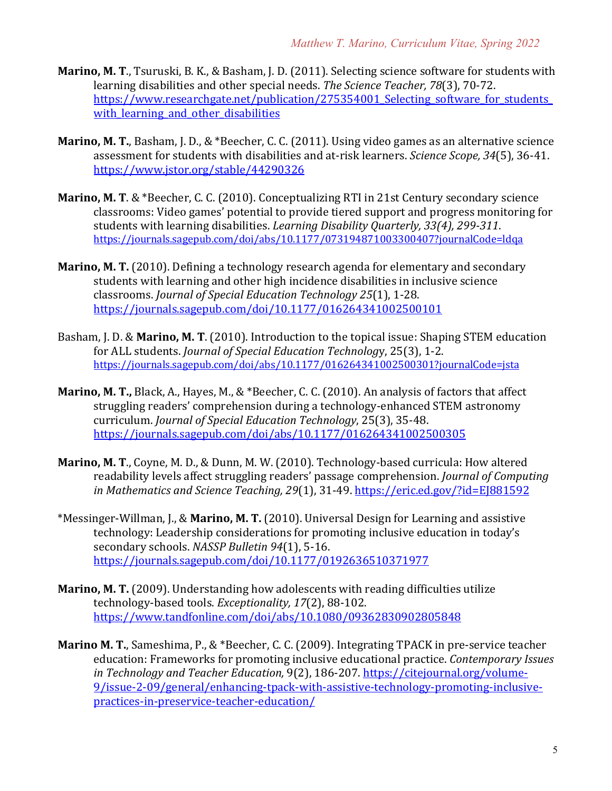- **Marino, M. T.**, Tsuruski, B. K., & Basham, J. D. (2011). Selecting science software for students with learning disabilities and other special needs. *The Science Teacher*, 78(3), 70-72. https://www.researchgate.net/publication/275354001 Selecting software for students with learning and other disabilities
- **Marino, M. T.**, Basham, J. D., & \*Beecher, C. C. (2011). Using video games as an alternative science assessment for students with disabilities and at-risk learners. *Science Scope, 34*(5), 36-41. https://www.jstor.org/stable/44290326
- **Marino, M. T. & \*Beecher, C. C. (2010). Conceptualizing RTI in 21st Century secondary science** classrooms: Video games' potential to provide tiered support and progress monitoring for students with learning disabilities. *Learning Disability Quarterly, 33(4), 299-311*. https://journals.sagepub.com/doi/abs/10.1177/073194871003300407?journalCode=ldqa
- **Marino, M. T.** (2010). Defining a technology research agenda for elementary and secondary students with learning and other high incidence disabilities in inclusive science classrooms. *Journal of Special Education Technology 25*(1), 1-28. https://journals.sagepub.com/doi/10.1177/016264341002500101
- Basham, I. D. & Marino, M. T. (2010). Introduction to the topical issue: Shaping STEM education for ALL students. *Journal of Special Education Technology*, 25(3), 1-2. https://journals.sagepub.com/doi/abs/10.1177/016264341002500301?journalCode=jsta
- **Marino, M. T., Black, A., Hayes, M., & \*Beecher, C. C. (2010). An analysis of factors that affect** struggling readers' comprehension during a technology-enhanced STEM astronomy curriculum. *Journal of Special Education Technology*, 25(3), 35-48. https://journals.sagepub.com/doi/abs/10.1177/016264341002500305
- **Marino, M. T., Coyne, M. D., & Dunn, M. W. (2010). Technology-based curricula: How altered** readability levels affect struggling readers' passage comprehension. *Journal of Computing in Mathematics and Science Teaching, 29*(1), 31-49. https://eric.ed.gov/?id=EJ881592
- \*Messinger-Willman, J., & Marino, M. T. (2010). Universal Design for Learning and assistive technology: Leadership considerations for promoting inclusive education in today's secondary schools. *NASSP Bulletin* 94(1), 5-16. https://journals.sagepub.com/doi/10.1177/0192636510371977
- **Marino, M. T.** (2009). Understanding how adolescents with reading difficulties utilize technology-based tools. *Exceptionality*, 17(2), 88-102. https://www.tandfonline.com/doi/abs/10.1080/09362830902805848
- **Marino M. T.**, Sameshima, P., & \*Beecher, C. C. (2009). Integrating TPACK in pre-service teacher education: Frameworks for promoting inclusive educational practice. *Contemporary Issues in* Technology and Teacher Education, 9(2), 186-207. https://citejournal.org/volume-9/issue-2-09/general/enhancing-tpack-with-assistive-technology-promoting-inclusivepractices-in-preservice-teacher-education/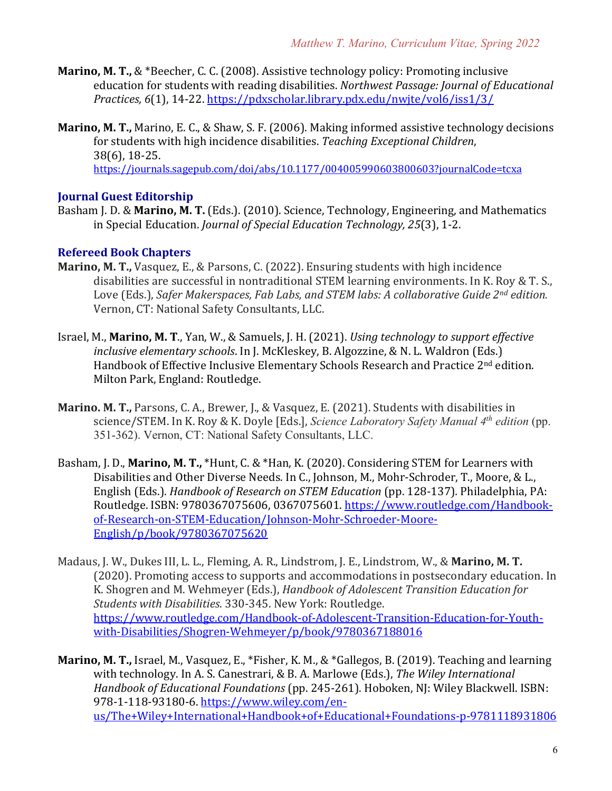- **Marino, M. T., & \*Beecher, C. C. (2008).** Assistive technology policy: Promoting inclusive education for students with reading disabilities. *Northwest Passage: Journal of Educational Practices, 6*(1), 14-22. https://pdxscholar.library.pdx.edu/nwjte/vol6/iss1/3/
- **Marino, M. T.,** Marino, E. C., & Shaw, S. F. (2006). Making informed assistive technology decisions for students with high incidence disabilities. *Teaching Exceptional Children*, 38(6), 18-25. https://journals.sagepub.com/doi/abs/10.1177/004005990603800603?journalCode=tcxa

#### **Journal Guest Editorship**

Basham J. D. & Marino, M. T. (Eds.). (2010). Science, Technology, Engineering, and Mathematics in Special Education. *Journal of Special Education Technology, 25*(3), 1-2.

#### **Refereed Book Chapters**

- **Marino, M. T.,** Vasquez, E., & Parsons, C. (2022). Ensuring students with high incidence disabilities are successful in nontraditional STEM learning environments. In K. Roy & T. S., Love (Eds.), *Safer Makerspaces, Fab Labs, and STEM labs: A collaborative Guide 2<sup>nd</sup> edition.* Vernon, CT: National Safety Consultants, LLC.
- Israel, M., **Marino, M. T.**, Yan, W., & Samuels, J. H. (2021). *Using technology to support effective inclusive elementary schools*. In J. McKleskey, B. Algozzine, & N. L. Waldron (Eds.) Handbook of Effective Inclusive Elementary Schools Research and Practice 2<sup>nd</sup> edition. Milton Park, England: Routledge.
- **Marino. M. T., Parsons, C. A., Brewer, J., & Vasquez, E. (2021). Students with disabilities in** science/STEM. In K. Roy & K. Doyle [Eds.], *Science Laboratory Safety Manual 4<sup>th</sup> edition* (pp. 351-362). Vernon, CT: National Safety Consultants, LLC.
- Basham, J. D., Marino, M. T., \*Hunt, C. & \*Han, K. (2020). Considering STEM for Learners with Disabilities and Other Diverse Needs. In C., Johnson, M., Mohr-Schroder, T., Moore, & L., English (Eds.). *Handbook of Research on STEM Education* (pp. 128-137). Philadelphia, PA: Routledge. ISBN: 9780367075606, 0367075601. https://www.routledge.com/Handbookof-Research-on-STEM-Education/Johnson-Mohr-Schroeder-Moore-English/p/book/9780367075620
- Madaus, J. W., Dukes III, L. L., Fleming, A. R., Lindstrom, J. E., Lindstrom, W., & Marino, M. T. (2020). Promoting access to supports and accommodations in postsecondary education. In K. Shogren and M. Wehmeyer (Eds.), *Handbook of Adolescent Transition Education for Students with Disabilities.* 330-345. New York: Routledge. https://www.routledge.com/Handbook-of-Adolescent-Transition-Education-for-Youthwith-Disabilities/Shogren-Wehmeyer/p/book/9780367188016
- **Marino, M. T.,** Israel, M., Vasquez, E., \*Fisher, K. M., & \*Gallegos, B. (2019). Teaching and learning with technology. In A. S. Canestrari, & B. A. Marlowe (Eds.), *The Wiley International Handbook of Educational Foundations* (pp. 245-261)*.* Hoboken, NJ: Wiley Blackwell. ISBN: 978-1-118-93180-6. https://www.wiley.com/enus/The+Wiley+International+Handbook+of+Educational+Foundations-p-9781118931806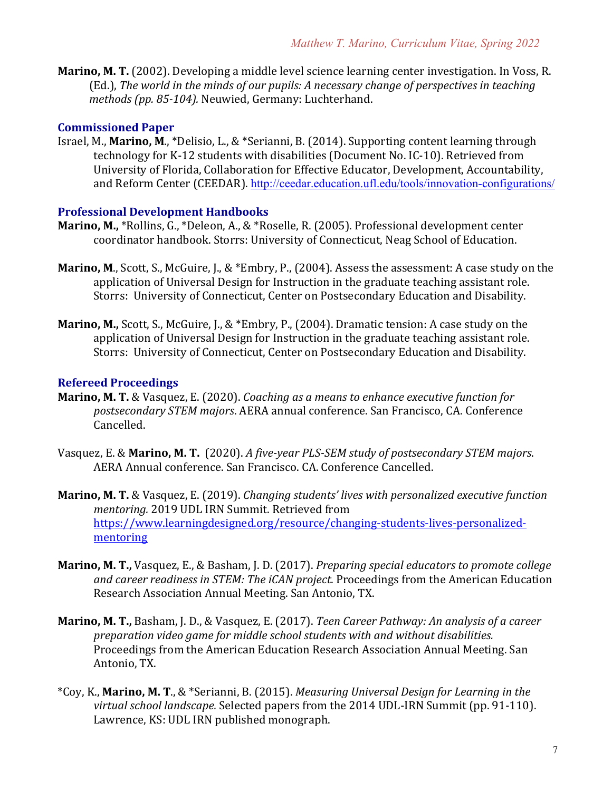**Marino, M. T.** (2002). Developing a middle level science learning center investigation. In Voss, R. (Ed.), *The world in the minds of our pupils: A necessary change of perspectives in teaching methods (pp. 85-104).* Neuwied, Germany: Luchterhand.

#### **Commissioned Paper**

Israel, M., **Marino, M.**, \*Delisio, L., & \*Serianni, B. (2014). Supporting content learning through technology for K-12 students with disabilities (Document No. IC-10). Retrieved from University of Florida, Collaboration for Effective Educator, Development, Accountability, and Reform Center (CEEDAR). http://ceedar.education.ufl.edu/tools/innovation-configurations/

#### **Professional Development Handbooks**

- **Marino, M.,** \*Rollins, G., \*Deleon, A., & \*Roselle, R. (2005). Professional development center coordinator handbook. Storrs: University of Connecticut, Neag School of Education.
- **Marino, M.**, Scott, S., McGuire, J., & \*Embry, P., (2004). Assess the assessment: A case study on the application of Universal Design for Instruction in the graduate teaching assistant role. Storrs: University of Connecticut, Center on Postsecondary Education and Disability.
- **Marino, M.,** Scott, S., McGuire, J., & \*Embry, P., (2004). Dramatic tension: A case study on the application of Universal Design for Instruction in the graduate teaching assistant role. Storrs: University of Connecticut, Center on Postsecondary Education and Disability.

#### **Refereed Proceedings**

- **Marino, M. T.** & Vasquez, E. (2020). *Coaching as a means to enhance executive function for postsecondary STEM majors*. AERA annual conference. San Francisco, CA. Conference Cancelled.
- Vasquez, E. & Marino, M. T. (2020). *A* five-year PLS-SEM study of postsecondary STEM majors. AERA Annual conference. San Francisco. CA. Conference Cancelled.
- **Marino, M. T.** & Vasquez, E. (2019). *Changing students' lives with personalized executive function mentoring.* 2019 UDL IRN Summit. Retrieved from https://www.learningdesigned.org/resource/changing-students-lives-personalizedmentoring
- **Marino, M. T.,** Vasquez, E., & Basham, J. D. (2017). *Preparing special educators to promote college* and career readiness in STEM: The *iCAN project*. Proceedings from the American Education Research Association Annual Meeting. San Antonio, TX.
- **Marino, M. T., Basham, J. D., & Vasquez, E. (2017).** Teen Career Pathway: An analysis of a career preparation video game for middle school students with and without disabilities. Proceedings from the American Education Research Association Annual Meeting. San Antonio, TX.
- \*Coy, K., **Marino, M. T.**, & \*Serianni, B. (2015). *Measuring Universal Design for Learning in the* virtual school landscape. Selected papers from the 2014 UDL-IRN Summit (pp. 91-110). Lawrence, KS: UDL IRN published monograph.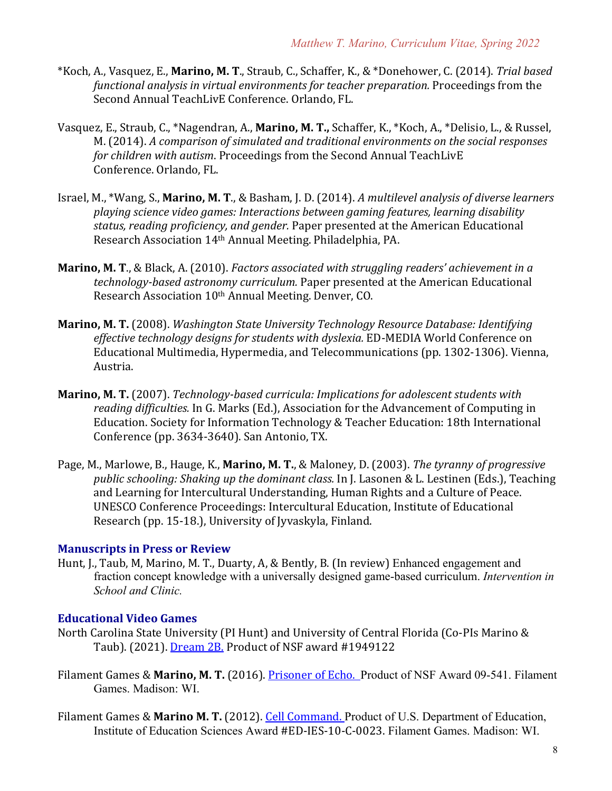- \*Koch, A., Vasquez, E., Marino, M. T., Straub, C., Schaffer, K., & \*Donehower, C. (2014). *Trial based functional analysis in virtual environments for teacher preparation.* Proceedings from the Second Annual TeachLivE Conference. Orlando, FL.
- Vasquez, E., Straub, C., \*Nagendran, A., **Marino, M. T.,** Schaffer, K., \*Koch, A., \*Delisio, L., & Russel, M. (2014). A comparison of simulated and traditional environments on the social responses *for children with autism.* Proceedings from the Second Annual TeachLivE Conference. Orlando, FL.
- Israel, M., \*Wang, S., Marino, M. T., & Basham, J. D. (2014). A multilevel analysis of diverse learners playing science video games: Interactions between gaming features, learning disability status, reading proficiency, and gender. Paper presented at the American Educational Research Association 14<sup>th</sup> Annual Meeting. Philadelphia, PA.
- **Marino, M. T., & Black, A. (2010).** *Factors associated with struggling readers' achievement in a technology-based astronomy curriculum.* Paper presented at the American Educational Research Association 10<sup>th</sup> Annual Meeting. Denver, CO.
- **Marino, M. T.** (2008). *Washington State University Technology Resource Database: Identifying* effective technology designs for students with dyslexia. ED-MEDIA World Conference on Educational Multimedia, Hypermedia, and Telecommunications (pp. 1302-1306). Vienna, Austria.
- **Marino, M. T.** (2007). *Technology-based curricula: Implications for adolescent students with* reading difficulties. In G. Marks (Ed.), Association for the Advancement of Computing in Education. Society for Information Technology & Teacher Education: 18th International Conference (pp. 3634-3640). San Antonio, TX.
- Page, M., Marlowe, B., Hauge, K., Marino, M. T., & Maloney, D. (2003). The tyranny of progressive public schooling: Shaking up the dominant class. In J. Lasonen & L. Lestinen (Eds.), Teaching and Learning for Intercultural Understanding, Human Rights and a Culture of Peace. UNESCO Conference Proceedings: Intercultural Education, Institute of Educational Research (pp. 15-18.), University of Jyvaskyla, Finland.

#### **Manuscripts in Press or Review**

Hunt, J., Taub, M, Marino, M. T., Duarty, A, & Bently, B. (In review) Enhanced engagement and fraction concept knowledge with a universally designed game-based curriculum. *Intervention in School and Clinic.*

#### **Educational Video Games**

- North Carolina State University (PI Hunt) and University of Central Florida (Co-PIs Marino & Taub). (2021). Dream 2B. Product of NSF award #1949122
- Filament Games & Marino, M. T. (2016). Prisoner of Echo. Product of NSF Award 09-541. Filament Games. Madison: WI.
- Filament Games & Marino M. T. (2012). Cell Command. Product of U.S. Department of Education, Institute of Education Sciences Award #ED-IES-10-C-0023. Filament Games. Madison: WI.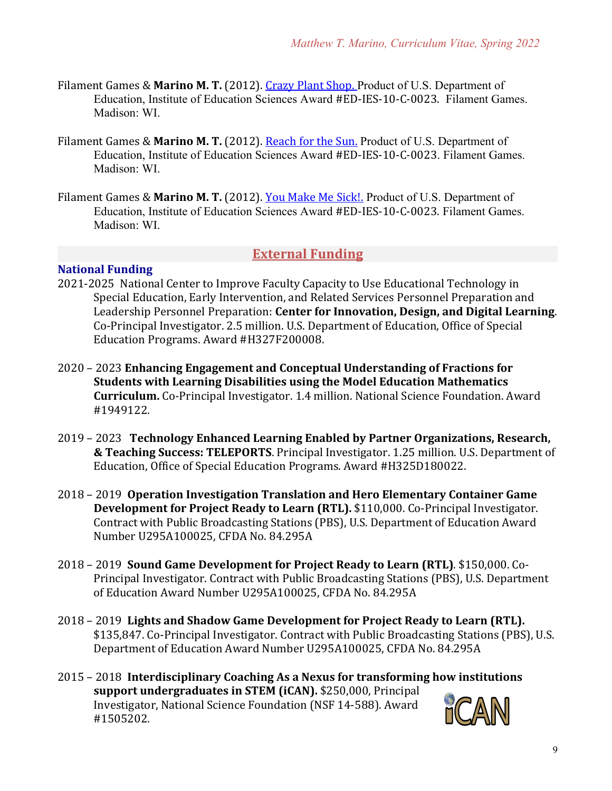- Filament Games & Marino M. T. (2012). Crazy Plant Shop. Product of U.S. Department of Education, Institute of Education Sciences Award #ED-IES-10-C-0023. Filament Games. Madison: WI.
- Filament Games & Marino M. T. (2012). Reach for the Sun. Product of U.S. Department of Education, Institute of Education Sciences Award #ED-IES-10-C-0023. Filament Games. Madison: WI.
- Filament Games & Marino M. T. (2012). You Make Me Sick!. Product of U.S. Department of Education, Institute of Education Sciences Award #ED-IES-10-C-0023. Filament Games. Madison: WI.

#### **External Funding**

#### **National Funding**

- 2021-2025 National Center to Improve Faculty Capacity to Use Educational Technology in Special Education, Early Intervention, and Related Services Personnel Preparation and Leadership Personnel Preparation: **Center for Innovation, Design, and Digital Learning**. Co-Principal Investigator. 2.5 million. U.S. Department of Education, Office of Special Education Programs. Award #H327F200008.
- 2020 2023 Enhancing Engagement and Conceptual Understanding of Fractions for **Students with Learning Disabilities using the Model Education Mathematics Curriculum.** Co-Principal Investigator. 1.4 million. National Science Foundation. Award #1949122.
- 2019 2023 Technology Enhanced Learning Enabled by Partner Organizations, Research, **& Teaching Success: TELEPORTS.** Principal Investigator. 1.25 million. U.S. Department of Education, Office of Special Education Programs. Award #H325D180022.
- 2018 2019 Operation Investigation Translation and Hero Elementary Container Game **Development for Project Ready to Learn (RTL).** \$110,000. Co-Principal Investigator. Contract with Public Broadcasting Stations (PBS), U.S. Department of Education Award Number U295A100025, CFDA No. 84.295A
- 2018 2019 **Sound Game Development for Project Ready to Learn (RTL)**. \$150,000. Co-Principal Investigator. Contract with Public Broadcasting Stations (PBS), U.S. Department of Education Award Number U295A100025, CFDA No. 84.295A
- 2018 2019 Lights and Shadow Game Development for Project Ready to Learn (RTL). \$135,847. Co-Principal Investigator. Contract with Public Broadcasting Stations (PBS), U.S. Department of Education Award Number U295A100025, CFDA No. 84.295A
- 2015 2018 Interdisciplinary Coaching As a Nexus for transforming how institutions support undergraduates in STEM (iCAN). \$250,000, Principal Investigator, National Science Foundation (NSF 14-588). Award #1505202.

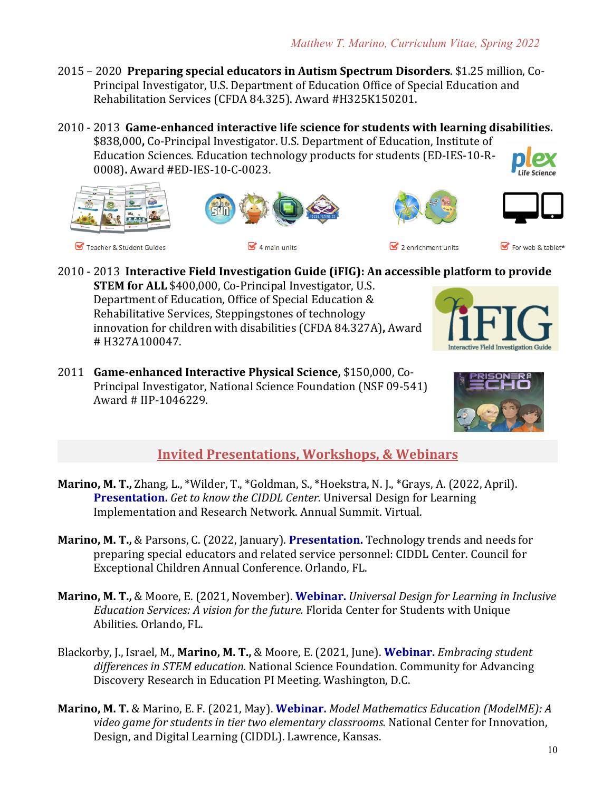- 2015 2020 Preparing special educators in Autism Spectrum Disorders. \$1.25 million, Co-Principal Investigator, U.S. Department of Education Office of Special Education and Rehabilitation Services (CFDA 84.325). Award #H325K150201.
- 2010 2013 **Game-enhanced interactive life science for students with learning disabilities.** \$838,000, Co-Principal Investigator. U.S. Department of Education, Institute of Education Sciences. Education technology products for students (ED-IES-10-R-0008)**.** Award #ED-IES-10-C-0023. Life Science





 $\leq 4$  main units



Teacher & Student Guides

2010 - 2013 Interactive Field Investigation Guide (iFIG): An accessible platform to provide

**STEM for ALL** \$400,000, Co-Principal Investigator, U.S. Department of Education, Office of Special Education & Rehabilitative Services, Steppingstones of technology innovation for children with disabilities (CFDA 84.327A), Award # H327A100047.

2011 **Game-enhanced Interactive Physical Science, \$150,000, Co-**Principal Investigator, National Science Foundation (NSF 09-541) Award # IIP-1046229.





## **Invited Presentations, Workshops, & Webinars**

- **Marino, M. T.,** Zhang, L., \*Wilder, T., \*Goldman, S., \*Hoekstra, N. J., \*Grays, A. (2022, April). **Presentation.** Get to know the CIDDL Center. Universal Design for Learning Implementation and Research Network. Annual Summit. Virtual.
- **Marino, M. T.,** & Parsons, C. (2022, January). **Presentation.** Technology trends and needs for preparing special educators and related service personnel: CIDDL Center. Council for Exceptional Children Annual Conference. Orlando, FL.
- Marino, M. T., & Moore, E. (2021, November). Webinar. *Universal Design for Learning in Inclusive Education Services: A vision for the future.* Florida Center for Students with Unique Abilities. Orlando, FL.
- Blackorby, J., Israel, M., Marino, M. T., & Moore, E. (2021, June). Webinar. *Embracing student* differences in STEM education. National Science Foundation. Community for Advancing Discovery Research in Education PI Meeting. Washington, D.C.
- **Marino, M. T.** & Marino, E. F. (2021, May). **Webinar.** *Model Mathematics Education (ModelME): A* video game for students in tier two elementary classrooms. National Center for Innovation, Design, and Digital Learning (CIDDL). Lawrence, Kansas.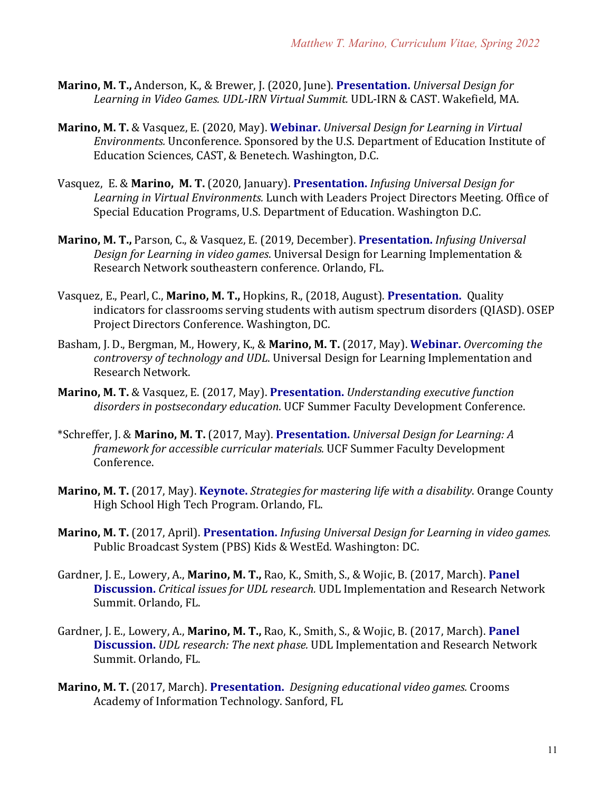- **Marino, M. T., Anderson, K., & Brewer, J. (2020, June). Presentation.** *Universal Design for* Learning in Video Games. *UDL-IRN Virtual Summit.* UDL-IRN & CAST. Wakefield, MA.
- **Marino, M. T.** & Vasquez, E. (2020, May). **Webinar.** *Universal Design for Learning in Virtual Environments.* Unconference. Sponsored by the U.S. Department of Education Institute of Education Sciences, CAST, & Benetech, Washington, D.C.
- Vasquez, E. & Marino, M. T. (2020, January). Presentation. *Infusing Universal Design for* Learning in Virtual Environments. Lunch with Leaders Project Directors Meeting. Office of Special Education Programs, U.S. Department of Education. Washington D.C.
- **Marino, M. T., Parson, C., & Vasquez, E. (2019, December). Presentation.** *Infusing Universal Design for Learning in video games*. Universal Design for Learning Implementation & Research Network southeastern conference. Orlando, FL.
- Vasquez, E., Pearl, C., Marino, M. T., Hopkins, R., (2018, August). Presentation. Quality indicators for classrooms serving students with autism spectrum disorders (QIASD). OSEP Project Directors Conference. Washington, DC.
- Basham, J. D., Bergman, M., Howery, K., & Marino, M. T. (2017, May). Webinar. *Overcoming the controversy of technology and UDL*. Universal Design for Learning Implementation and Research Network.
- **Marino, M. T.** & Vasquez, E. (2017, May). Presentation. *Understanding executive function* disorders in postsecondary education. UCF Summer Faculty Development Conference.
- \*Schreffer, J. & **Marino, M. T.** (2017, May). **Presentation.** *Universal Design for Learning: A framework for accessible curricular materials.* UCF Summer Faculty Development Conference.
- **Marino, M. T.** (2017, May). **Keynote.** *Strategies for mastering life with a disability*. Orange County High School High Tech Program. Orlando, FL.
- **Marino, M. T.** (2017, April). **Presentation.** *Infusing Universal Design for Learning in video games.* Public Broadcast System (PBS) Kids & WestEd. Washington: DC.
- Gardner, J. E., Lowery, A., Marino, M. T., Rao, K., Smith, S., & Wojic, B. (2017, March). Panel **Discussion.** *Critical issues for UDL research.* UDL Implementation and Research Network Summit. Orlando, FL.
- Gardner, J. E., Lowery, A., **Marino, M. T.,** Rao, K., Smith, S., & Wojic, B. (2017, March). **Panel Discussion.** *UDL research: The next phase.* UDL Implementation and Research Network Summit. Orlando, FL.
- **Marino, M. T.** (2017, March). **Presentation.** *Designing educational video games.* Crooms Academy of Information Technology. Sanford, FL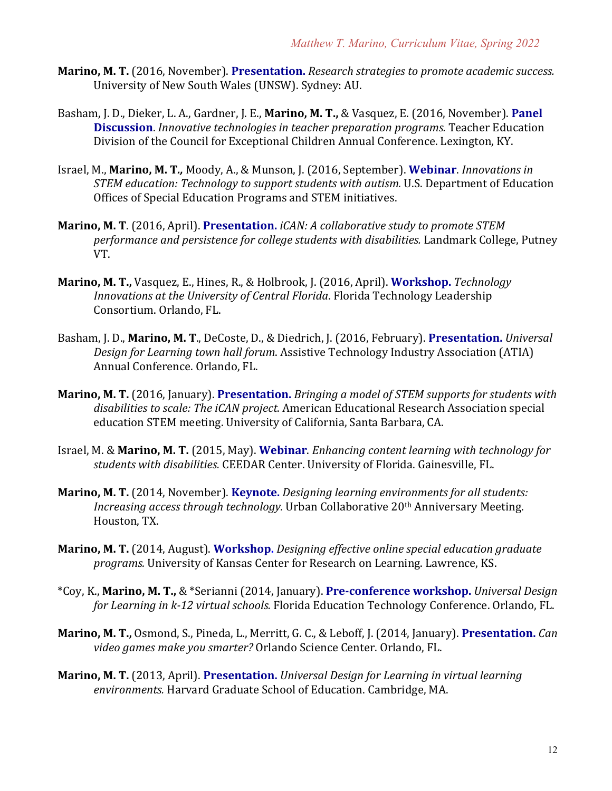- **Marino, M. T.** (2016, November). **Presentation.** *Research strategies to promote academic success.* University of New South Wales (UNSW). Sydney: AU.
- Basham, J. D., Dieker, L. A., Gardner, J. E., Marino, M. T., & Vasquez, E. (2016, November). Panel **Discussion**. *Innovative technologies in teacher preparation programs.* Teacher Education Division of the Council for Exceptional Children Annual Conference. Lexington, KY.
- Israel, M., Marino, M. T., Moody, A., & Munson, J. (2016, September). Webinar. *Innovations in STEM* education: Technology to support students with autism. U.S. Department of Education Offices of Special Education Programs and STEM initiatives.
- **Marino, M. T.** (2016, April). Presentation. *iCAN: A collaborative study to promote STEM performance and persistence for college students with disabilities.* Landmark College, Putney VT.
- **Marino, M. T.,** Vasquez, E., Hines, R., & Holbrook, J. (2016, April). **Workshop.** *Technology Innovations at the University of Central Florida*. Florida Technology Leadership Consortium. Orlando, FL.
- Basham, J. D., Marino, M. T., DeCoste, D., & Diedrich, J. (2016, February). Presentation. *Universal Design for Learning town hall forum.* Assistive Technology Industry Association (ATIA) Annual Conference. Orlando, FL.
- **Marino, M. T.** (2016, January). **Presentation.** *Bringing a model of STEM supports for students with* disabilities to scale: The *iCAN project*. American Educational Research Association special education STEM meeting. University of California, Santa Barbara, CA.
- Israel, M. & Marino, M. T. (2015, May). Webinar. *Enhancing content learning with technology for* students with disabilities. CEEDAR Center. University of Florida. Gainesville, FL.
- **Marino, M. T.** (2014, November). **Keynote.** *Designing learning environments for all students: Increasing access through technology.* Urban Collaborative 20<sup>th</sup> Anniversary Meeting. Houston, TX.
- **Marino, M. T.** (2014, August). **Workshop.** *Designing effective online special education graduate programs.* University of Kansas Center for Research on Learning. Lawrence, KS.
- \*Coy, K., **Marino, M. T.,** & \*Serianni (2014, January). **Pre-conference workshop.** *Universal Design for Learning in k-12 virtual schools.* Florida Education Technology Conference. Orlando, FL.
- **Marino, M. T.,** Osmond, S., Pineda, L., Merritt, G. C., & Leboff, J. (2014, January). Presentation. *Can* video games make you smarter? Orlando Science Center. Orlando, FL.
- **Marino, M. T.** (2013, April). Presentation. *Universal Design for Learning in virtual learning* environments. Harvard Graduate School of Education. Cambridge, MA.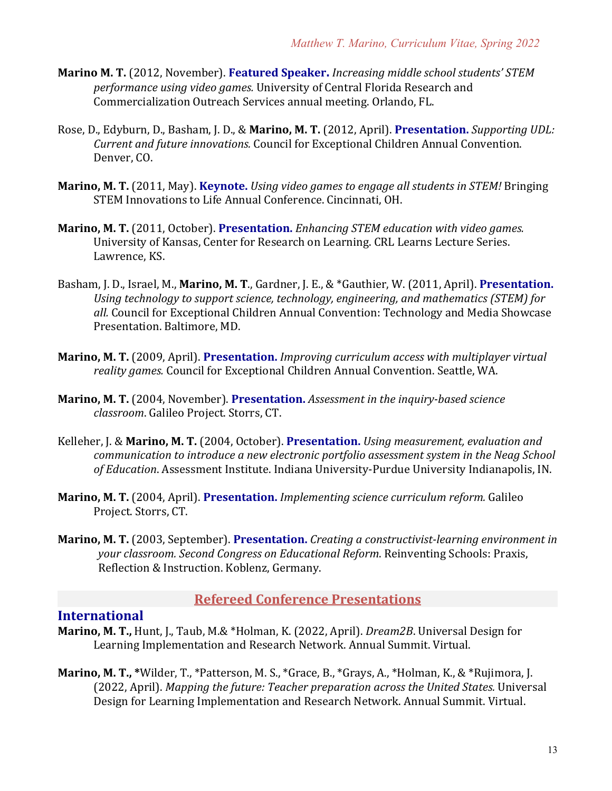- **Marino M. T.** (2012, November). Featured Speaker. *Increasing middle school students' STEM performance using video games.* University of Central Florida Research and Commercialization Outreach Services annual meeting. Orlando, FL.
- Rose, D., Edyburn, D., Basham, J. D., & Marino, M. T. (2012, April). Presentation. *Supporting UDL: Current and future innovations.* Council for Exceptional Children Annual Convention. Denver, CO.
- **Marino, M. T.** (2011, May). **Keynote.** *Using video games to engage all students in STEM!* Bringing STEM Innovations to Life Annual Conference. Cincinnati, OH.
- **Marino, M. T.** (2011, October). **Presentation.** *Enhancing STEM education with video games.* University of Kansas, Center for Research on Learning. CRL Learns Lecture Series. Lawrence, KS.
- Basham, J. D., Israel, M., Marino, M. T., Gardner, J. E., & \*Gauthier, W. (2011, April). Presentation. Using technology to support science, technology, engineering, and mathematics (STEM) for all. Council for Exceptional Children Annual Convention: Technology and Media Showcase Presentation. Baltimore, MD.
- **Marino, M. T.** (2009, April). **Presentation.** *Improving curriculum access with multiplayer virtual* reality games. Council for Exceptional Children Annual Convention. Seattle, WA.
- **Marino, M. T.** (2004, November). Presentation. *Assessment in the inquiry-based science classroom*. Galileo Project. Storrs, CT.
- Kelleher, J. & Marino, M. T. (2004, October). Presentation. *Using measurement, evaluation and* communication to introduce a new electronic portfolio assessment system in the Neag School of Education. Assessment Institute. Indiana University-Purdue University Indianapolis, IN.
- **Marino, M. T.** (2004, April). **Presentation.** *Implementing science curriculum reform.* Galileo Project. Storrs, CT.
- **Marino, M. T.** (2003, September). Presentation. *Creating a constructivist-learning environment in your classroom. Second Congress on Educational Reform. Reinventing Schools: Praxis,* Reflection & Instruction. Koblenz, Germany.

#### **Refereed Conference Presentations**

#### **International**

- **Marino, M. T., Hunt, J., Taub, M.& \*Holman, K. (2022, April).** *Dream2B*. Universal Design for Learning Implementation and Research Network. Annual Summit. Virtual.
- **Marino, M. T.,** \*Wilder, T., \*Patterson, M. S., \*Grace, B., \*Grays, A., \*Holman, K., & \*Rujimora, J. (2022, April). *Mapping the future: Teacher preparation across the United States.* Universal Design for Learning Implementation and Research Network. Annual Summit. Virtual.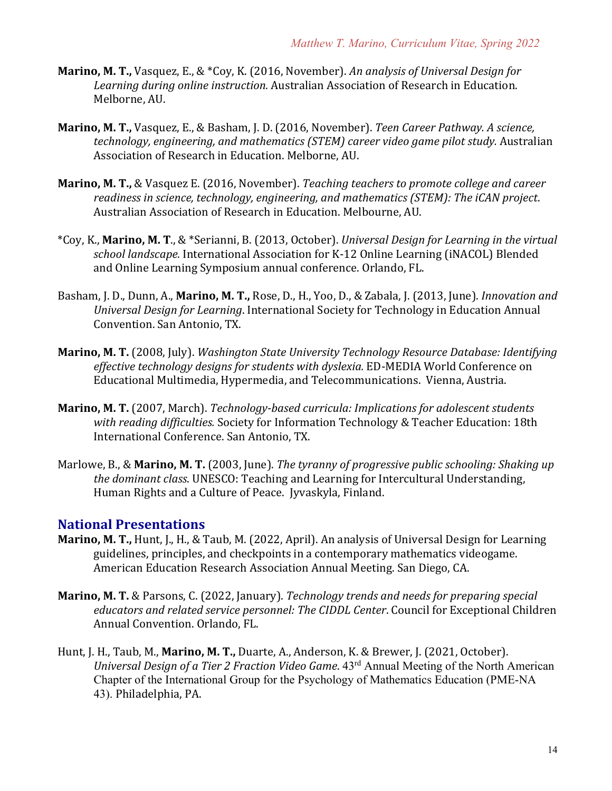- **Marino, M. T.,** Vasquez, E., & \*Coy, K. (2016, November). An analysis of Universal Design for Learning during online instruction. Australian Association of Research in Education. Melborne, AU.
- **Marino, M. T., Vasquez, E., & Basham, J. D. (2016, November).** Teen Career Pathway. A science, technology, engineering, and mathematics (STEM) career video game pilot study. Australian Association of Research in Education. Melborne, AU.
- **Marino, M. T., &** Vasquez E. (2016, November). *Teaching teachers to promote college and career* readiness in science, technology, engineering, and mathematics (STEM): The iCAN project. Australian Association of Research in Education. Melbourne, AU.
- \*Coy, K., **Marino, M. T.**, & \*Serianni, B. (2013, October). *Universal Design for Learning in the virtual* school *landscape*. International Association for K-12 Online Learning (iNACOL) Blended and Online Learning Symposium annual conference. Orlando, FL.
- Basham, J. D., Dunn, A., Marino, M. T., Rose, D., H., Yoo, D., & Zabala, J. (2013, June). *Innovation and Universal Design for Learning*. International Society for Technology in Education Annual Convention. San Antonio, TX.
- **Marino, M. T.** (2008, July). *Washington State University Technology Resource Database: Identifying* effective technology designs for students with dyslexia. ED-MEDIA World Conference on Educational Multimedia, Hypermedia, and Telecommunications. Vienna, Austria.
- **Marino, M. T.** (2007, March). *Technology-based curricula: Implications for adolescent students* with reading difficulties. Society for Information Technology & Teacher Education: 18th International Conference. San Antonio, TX.
- Marlowe, B., & Marino, M. T. (2003, June). *The tyranny of progressive public schooling: Shaking up the dominant class*. UNESCO: Teaching and Learning for Intercultural Understanding, Human Rights and a Culture of Peace. [yvaskyla, Finland.]

#### **National Presentations**

- **Marino, M. T., Hunt, J., H., & Taub, M. (2022, April). An analysis of Universal Design for Learning** guidelines, principles, and checkpoints in a contemporary mathematics videogame. American Education Research Association Annual Meeting. San Diego, CA.
- **Marino, M. T.** & Parsons, C. (2022, January). *Technology trends and needs for preparing special educators and related service personnel: The CIDDL Center.* Council for Exceptional Children Annual Convention. Orlando, FL.
- Hunt, J. H., Taub, M., Marino, M. T., Duarte, A., Anderson, K. & Brewer, J. (2021, October). *Universal Design of a Tier 2 Fraction Video Game.* 43<sup>rd</sup> Annual Meeting of the North American Chapter of the International Group for the Psychology of Mathematics Education (PME-NA 43). Philadelphia, PA.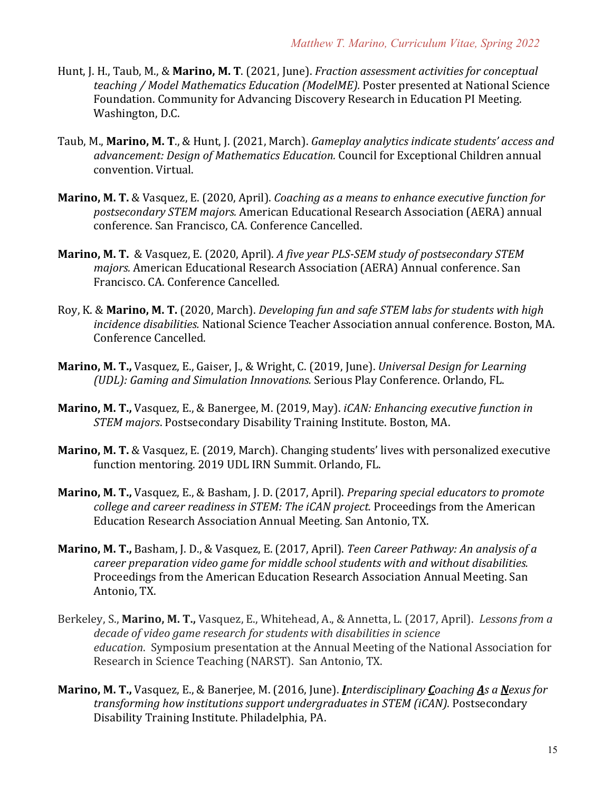- Hunt, J. H., Taub, M., & Marino, M. T. (2021, June). *Fraction assessment activities for conceptual teaching* / Model Mathematics Education (ModelME). Poster presented at National Science Foundation. Community for Advancing Discovery Research in Education PI Meeting. Washington, D.C.
- Taub, M., Marino, M. T., & Hunt, J. (2021, March). *Gameplay analytics indicate students' access and* advancement: Design of Mathematics Education. Council for Exceptional Children annual convention. Virtual.
- **Marino, M. T.** & Vasquez, E. (2020, April). *Coaching as a means to enhance executive function for postsecondary STEM majors.* American Educational Research Association (AERA) annual conference. San Francisco, CA. Conference Cancelled.
- **Marino, M. T.** & Vasquez, E. (2020, April). A five year PLS-SEM study of postsecondary STEM *majors.* American Educational Research Association (AERA) Annual conference. San Francisco. CA. Conference Cancelled.
- Roy, K. & **Marino, M. T.** (2020, March). *Developing fun and safe STEM labs for students with high incidence disabilities.* National Science Teacher Association annual conference. Boston, MA. Conference Cancelled.
- **Marino, M. T.,** Vasquez, E., Gaiser, J., & Wright, C. (2019, June). *Universal Design for Learning (UDL): Gaming and Simulation Innovations.* Serious Play Conference. Orlando, FL.
- **Marino, M. T.,** Vasquez, E., & Banergee, M. (2019, May). *iCAN: Enhancing executive function in STEM majors.* Postsecondary Disability Training Institute. Boston, MA.
- **Marino, M. T.** & Vasquez, E. (2019, March). Changing students' lives with personalized executive function mentoring. 2019 UDL IRN Summit. Orlando, FL.
- **Marino, M. T.,** Vasquez, E., & Basham, J. D. (2017, April). *Preparing special educators to promote college and career readiness in STEM: The iCAN project.* Proceedings from the American Education Research Association Annual Meeting. San Antonio, TX.
- **Marino, M. T., Basham, J. D., & Vasquez, E. (2017, April).** Teen Career Pathway: An analysis of a *career preparation video game for middle school students with and without disabilities.* Proceedings from the American Education Research Association Annual Meeting. San Antonio, TX.
- Berkeley, S., Marino, M. T., Vasquez, E., Whitehead, A., & Annetta, L. (2017, April). Lessons from a decade of video game research for students with disabilities in science *education*. Symposium presentation at the Annual Meeting of the National Association for Research in Science Teaching (NARST). San Antonio, TX.
- **Marino, M. T.,** Vasquez, E., & Banerjee, M. (2016, June). *Interdisciplinary Coaching As a Nexus for* transforming how institutions support undergraduates in STEM (iCAN). Postsecondary Disability Training Institute. Philadelphia, PA.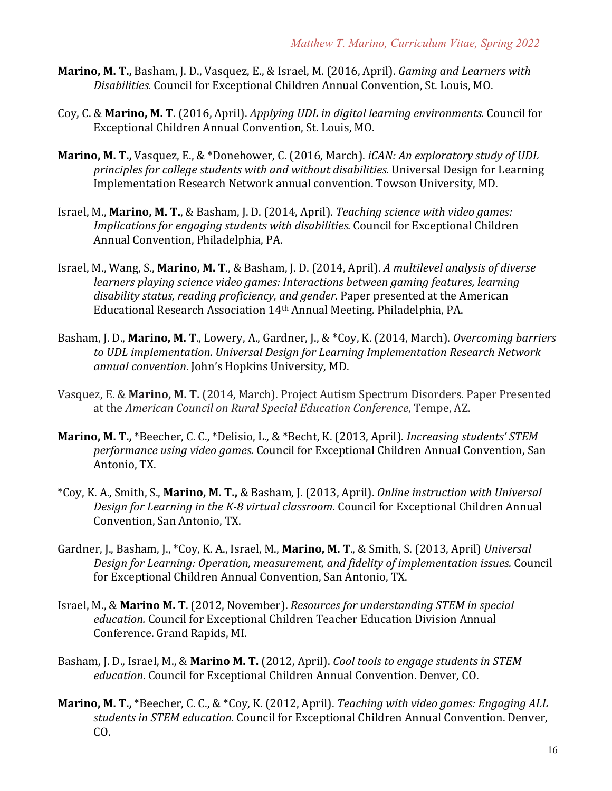- **Marino, M. T., Basham, J. D., Vasquez, E., & Israel, M. (2016, April).** *Gaming and Learners with Disabilities.* Council for Exceptional Children Annual Convention, St. Louis, MO.
- Coy, C. & Marino, M. T. (2016, April). *Applying UDL in digital learning environments.* Council for Exceptional Children Annual Convention, St. Louis, MO.
- **Marino, M. T.,** Vasquez, E., & \*Donehower, C. (2016, March). *iCAN: An exploratory study of UDL principles for college students with and without disabilities.* Universal Design for Learning Implementation Research Network annual convention. Towson University, MD.
- Israel, M., **Marino, M. T.**, & Basham, J. D. (2014, April). *Teaching science with video games: Implications for engaging students with disabilities.* Council for Exceptional Children Annual Convention, Philadelphia, PA.
- Israel, M., Wang, S., **Marino, M. T.**, & Basham, J. D. (2014, April). A multilevel analysis of diverse *learners playing science video games: Interactions between gaming features, learning* disability status, reading proficiency, and gender. Paper presented at the American Educational Research Association 14<sup>th</sup> Annual Meeting. Philadelphia, PA.
- Basham, J. D., Marino, M. T., Lowery, A., Gardner, J., & \*Coy, K. (2014, March). *Overcoming barriers* to UDL implementation. Universal Design for Learning Implementation Research Network annual convention. John's Hopkins University, MD.
- Vasquez, E. & Marino, M. T. (2014, March). Project Autism Spectrum Disorders. Paper Presented at the *American Council on Rural Special Education Conference*, Tempe, AZ.
- **Marino, M. T.,** \*Beecher, C. C., \*Delisio, L., & \*Becht, K. (2013, April). *Increasing students' STEM performance using video games.* Council for Exceptional Children Annual Convention, San Antonio, TX.
- \*Coy, K. A., Smith, S., **Marino, M. T.,** & Basham, J. (2013, April). *Online instruction with Universal*  Design for Learning in the K-8 virtual classroom. Council for Exceptional Children Annual Convention, San Antonio, TX.
- Gardner, J., Basham, J., \*Coy, K. A., Israel, M., **Marino, M. T.**, & Smith, S. (2013, April) *Universal* Design for Learning: Operation, measurement, and fidelity of implementation issues. Council for Exceptional Children Annual Convention, San Antonio, TX.
- Israel, M., & Marino M. T. (2012, November). *Resources for understanding STEM in special* education. Council for Exceptional Children Teacher Education Division Annual Conference. Grand Rapids, MI.
- Basham, J. D., Israel, M., & Marino M. T. (2012, April). *Cool tools to engage students in STEM* education. Council for Exceptional Children Annual Convention. Denver, CO.
- **Marino, M. T.,** \*Beecher, C. C., & \*Coy, K. (2012, April). *Teaching with video games: Engaging ALL* students in STEM education. Council for Exceptional Children Annual Convention. Denver, CO.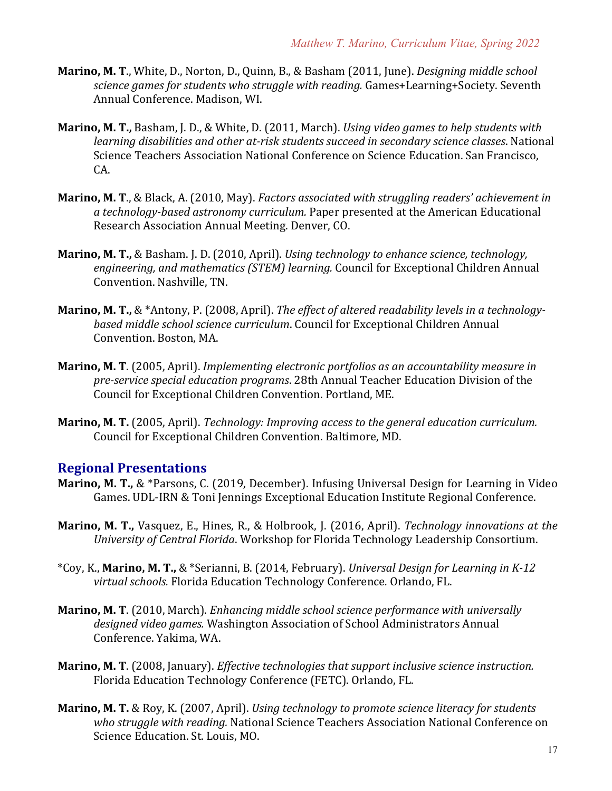- **Marino, M. T., White, D., Norton, D., Quinn, B., & Basham (2011, June).** *Designing middle school science games for students who struggle with reading.* Games+Learning+Society. Seventh Annual Conference. Madison, WI.
- **Marino, M. T., Basham, J. D., & White, D. (2011, March).** Using video games to help students with *learning disabilities and other at-risk students succeed in secondary science classes.* National Science Teachers Association National Conference on Science Education. San Francisco, CA.
- **Marino, M. T., & Black, A. (2010, May).** *Factors associated with struggling readers' achievement in* a technology-based astronomy curriculum. Paper presented at the American Educational Research Association Annual Meeting. Denver, CO.
- **Marino, M. T.,** & Basham. J. D. (2010, April). *Using technology to enhance science, technology,* engineering, and mathematics (STEM) learning. Council for Exceptional Children Annual Convention. Nashville. TN.
- **Marino, M. T.,** & \*Antony, P. (2008, April). *The effect of altered readability levels in a technology*based middle school science curriculum. Council for Exceptional Children Annual Convention. Boston, MA.
- **Marino, M. T.** (2005, April). *Implementing electronic portfolios as an accountability measure in* pre-service special education programs. 28th Annual Teacher Education Division of the Council for Exceptional Children Convention. Portland, ME.
- **Marino, M. T.** (2005, April). *Technology: Improving access to the general education curriculum.* Council for Exceptional Children Convention. Baltimore, MD.

#### **Regional Presentations**

- **Marino, M. T., &** \*Parsons, C. (2019, December). Infusing Universal Design for Learning in Video Games. UDL-IRN & Toni Jennings Exceptional Education Institute Regional Conference.
- **Marino, M. T.,** Vasquez, E., Hines, R., & Holbrook, J. (2016, April). *Technology innovations at the University of Central Florida*. Workshop for Florida Technology Leadership Consortium.
- \*Coy, K., **Marino, M. T.,** & \*Serianni, B. (2014, February). *Universal Design for Learning in K-12 virtual schools.* Florida Education Technology Conference*.* Orlando, FL.
- **Marino, M. T.** (2010, March). *Enhancing middle school science performance with universally* designed video games. Washington Association of School Administrators Annual Conference. Yakima, WA.
- **Marino, M. T.** (2008, January). *Effective technologies that support inclusive science instruction.* Florida Education Technology Conference (FETC). Orlando, FL.
- **Marino, M. T.** & Roy, K. (2007, April). *Using technology to promote science literacy for students* who struggle with reading. National Science Teachers Association National Conference on Science Education. St. Louis, MO.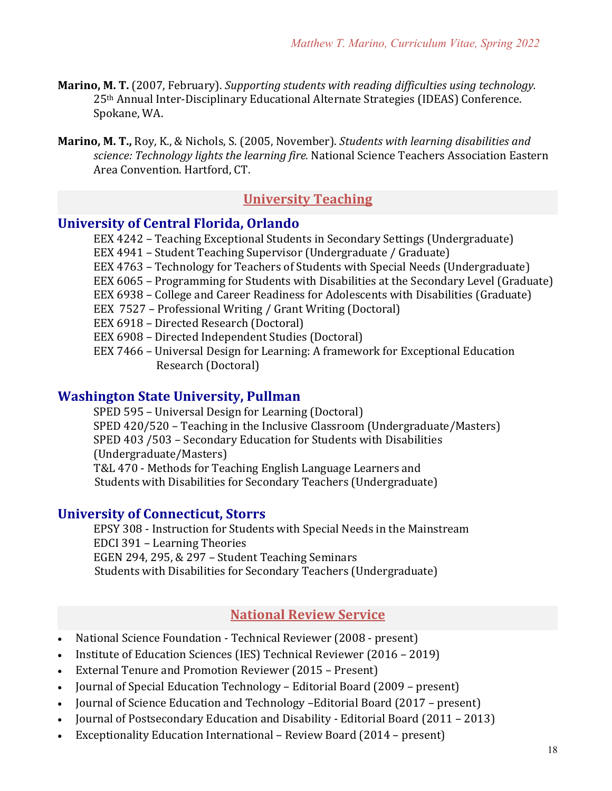- **Marino, M. T.** (2007, February). *Supporting students with reading difficulties using technology.* 25<sup>th</sup> Annual Inter-Disciplinary Educational Alternate Strategies (IDEAS) Conference. Spokane, WA.
- **Marino, M. T., Roy, K., & Nichols, S. (2005, November).** *Students with learning disabilities and science: Technology lights the learning fire.* National Science Teachers Association Eastern Area Convention. Hartford, CT.

# **University Teaching**

## **University of Central Florida, Orlando**

EEX 4242 - Teaching Exceptional Students in Secondary Settings (Undergraduate)

- EEX 4941 Student Teaching Supervisor (Undergraduate / Graduate)
- EEX 4763 Technology for Teachers of Students with Special Needs (Undergraduate)
- EEX 6065 Programming for Students with Disabilities at the Secondary Level (Graduate)
- EEX 6938 College and Career Readiness for Adolescents with Disabilities (Graduate)
- EEX 7527 Professional Writing / Grant Writing (Doctoral)
- EEX 6918 Directed Research (Doctoral)
- EEX 6908 Directed Independent Studies (Doctoral)
- EEX 7466 Universal Design for Learning: A framework for Exceptional Education Research (Doctoral)

#### **Washington State University, Pullman**

SPED 595 - Universal Design for Learning (Doctoral) SPED  $420/520$  – Teaching in the Inclusive Classroom (Undergraduate/Masters) SPED 403 /503 - Secondary Education for Students with Disabilities (Undergraduate/Masters) T&L 470 - Methods for Teaching English Language Learners and Students with Disabilities for Secondary Teachers (Undergraduate)

#### **University of Connecticut, Storrs**

EPSY 308 - Instruction for Students with Special Needs in the Mainstream EDCI 391 - Learning Theories EGEN 294, 295,  $& 297 - Student Teaching Seminars$ Students with Disabilities for Secondary Teachers (Undergraduate)

### **National Review Service**

- National Science Foundation Technical Reviewer (2008 present)
- Institute of Education Sciences (IES) Technical Reviewer (2016 2019)
- External Tenure and Promotion Reviewer (2015 Present)
- Journal of Special Education Technology Editorial Board (2009 present)
- Journal of Science Education and Technology -Editorial Board (2017 present)
- Journal of Postsecondary Education and Disability Editorial Board (2011 2013)
- Exceptionality Education International Review Board (2014 present)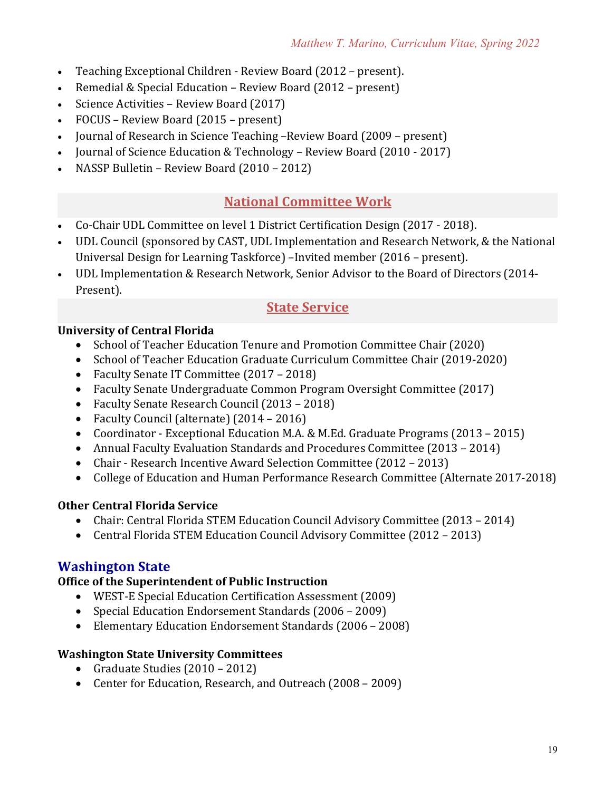- Teaching Exceptional Children Review Board (2012 present).
- Remedial & Special Education Review Board (2012 present)
- Science Activities Review Board (2017)
- FOCUS Review Board (2015 present)
- Journal of Research in Science Teaching –Review Board (2009 present)
- Journal of Science Education & Technology Review Board (2010 2017)
- NASSP Bulletin Review Board (2010 2012)

# **National Committee Work**

- Co-Chair UDL Committee on level 1 District Certification Design (2017 2018).
- UDL Council (sponsored by CAST, UDL Implementation and Research Network, & the National Universal Design for Learning Taskforce) -Invited member (2016 - present).
- UDL Implementation & Research Network, Senior Advisor to the Board of Directors (2014-Present).

## **State Service**

#### **University of Central Florida**

- School of Teacher Education Tenure and Promotion Committee Chair (2020)
- School of Teacher Education Graduate Curriculum Committee Chair (2019-2020)
- Faculty Senate IT Committee (2017 2018)
- Faculty Senate Undergraduate Common Program Oversight Committee (2017)
- Faculty Senate Research Council (2013 2018)
- Faculty Council (alternate) (2014 2016)
- Coordinator Exceptional Education M.A. & M.Ed. Graduate Programs (2013 2015)
- Annual Faculty Evaluation Standards and Procedures Committee (2013 2014)
- Chair Research Incentive Award Selection Committee (2012 2013)
- College of Education and Human Performance Research Committee (Alternate 2017-2018)

#### **Other Central Florida Service**

- Chair: Central Florida STEM Education Council Advisory Committee (2013 2014)
- Central Florida STEM Education Council Advisory Committee (2012 2013)

## **Washington State**

### **Office of the Superintendent of Public Instruction**

- WEST-E Special Education Certification Assessment (2009)
- Special Education Endorsement Standards (2006 2009)
- Elementary Education Endorsement Standards (2006 2008)

#### **Washington State University Committees**

- Graduate Studies  $(2010 2012)$
- Center for Education, Research, and Outreach (2008 2009)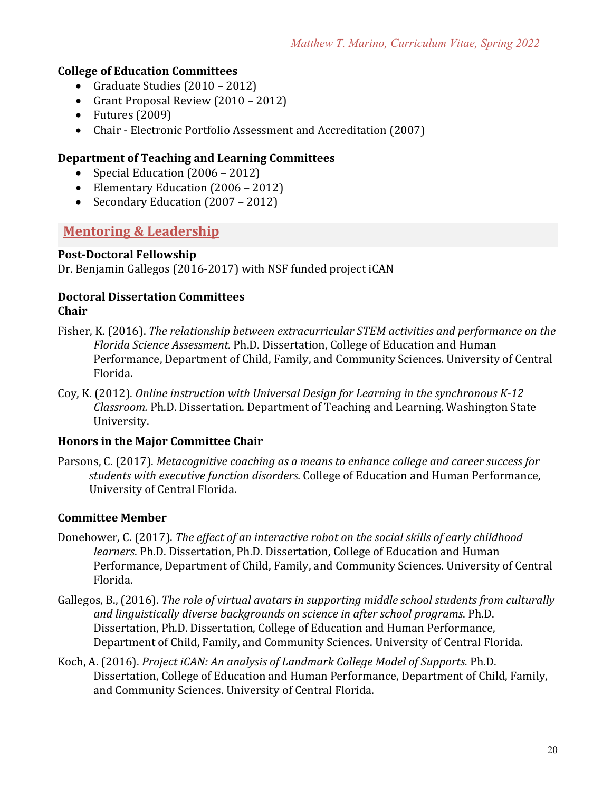#### **College of Education Committees**

- Graduate Studies  $(2010 2012)$
- Grant Proposal Review (2010 2012)
- Futures  $(2009)$
- Chair Electronic Portfolio Assessment and Accreditation (2007)

#### **Department of Teaching and Learning Committees**

- Special Education  $(2006 2012)$
- Elementary Education (2006 2012)
- Secondary Education (2007 2012)

# **Mentoring & Leadership**

#### **Post-Doctoral Fellowship**

Dr. Benjamin Gallegos (2016-2017) with NSF funded project iCAN

#### **Doctoral Dissertation Committees Chair**

- Fisher, K. (2016). *The relationship between extracurricular STEM activities and performance on the Florida Science Assessment.* Ph.D. Dissertation, College of Education and Human Performance, Department of Child, Family, and Community Sciences. University of Central Florida.
- Coy, K. (2012). *Online instruction with Universal Design for Learning in the synchronous K-12 Classroom.* Ph.D. Dissertation. Department of Teaching and Learning. Washington State University.

#### **Honors in the Major Committee Chair**

Parsons, C. (2017). *Metacognitive coaching as a means to enhance college and career success for students with executive function disorders.* College of Education and Human Performance, University of Central Florida.

#### **Committee Member**

- Donehower, C. (2017). *The effect of an interactive robot on the social skills of early childhood learners*. Ph.D. Dissertation, Ph.D. Dissertation, College of Education and Human Performance, Department of Child, Family, and Community Sciences. University of Central Florida.
- Gallegos, B., (2016). *The role of virtual avatars in supporting middle school students from culturally* and *linguistically diverse backgrounds on science in after school programs*. Ph.D. Dissertation, Ph.D. Dissertation, College of Education and Human Performance, Department of Child, Family, and Community Sciences. University of Central Florida.
- Koch, A. (2016). *Project iCAN: An analysis of Landmark College Model of Supports.* Ph.D. Dissertation, College of Education and Human Performance, Department of Child, Family, and Community Sciences. University of Central Florida.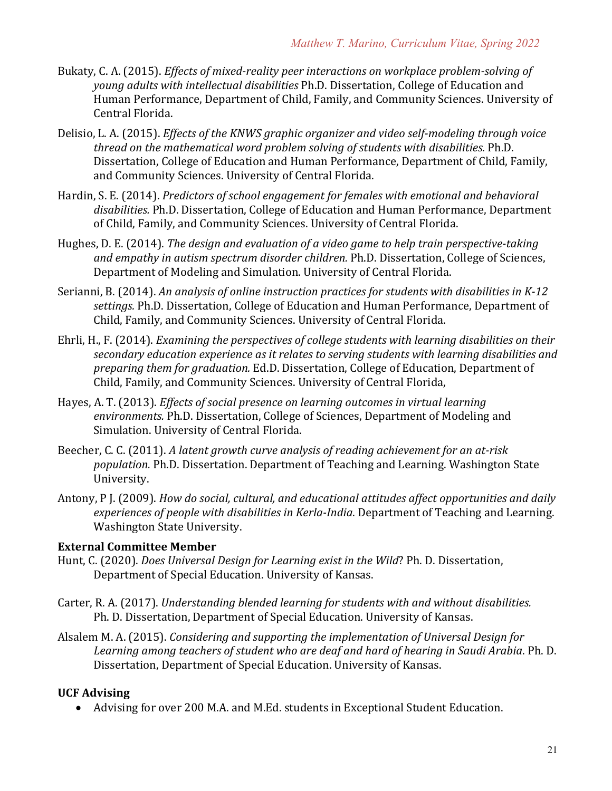- Bukaty, C. A. (2015). *Effects of mixed-reality peer interactions on workplace problem-solving of young adults with intellectual disabilities* Ph.D. Dissertation, College of Education and Human Performance, Department of Child, Family, and Community Sciences. University of Central Florida.
- Delisio, L. A. (2015). *Effects of the KNWS graphic organizer and video self-modeling through voice* thread on the mathematical word problem solving of students with disabilities. Ph.D. Dissertation, College of Education and Human Performance, Department of Child, Family, and Community Sciences. University of Central Florida.
- Hardin, S. E. (2014). *Predictors of school engagement for females with emotional and behavioral* disabilities. Ph.D. Dissertation, College of Education and Human Performance, Department of Child, Family, and Community Sciences. University of Central Florida.
- Hughes, D. E. (2014). *The design and evaluation of a video game to help train perspective-taking* and empathy in autism spectrum disorder children. Ph.D. Dissertation, College of Sciences, Department of Modeling and Simulation. University of Central Florida.
- Serianni, B. (2014). An analysis of online instruction practices for students with disabilities in K-12 settings. Ph.D. Dissertation, College of Education and Human Performance, Department of Child, Family, and Community Sciences. University of Central Florida.
- Ehrli, H., F. (2014). *Examining the perspectives of college students with learning disabilities on their* secondary education experience as it relates to serving students with learning disabilities and *preparing them for graduation.* Ed.D. Dissertation, College of Education, Department of Child, Family, and Community Sciences. University of Central Florida,
- Hayes, A. T. (2013). *Effects of social presence on learning outcomes in virtual learning* environments. Ph.D. Dissertation, College of Sciences, Department of Modeling and Simulation. University of Central Florida.
- Beecher, C. C. (2011). A latent growth curve analysis of reading achievement for an at-risk *population.* Ph.D. Dissertation. Department of Teaching and Learning. Washington State University.
- Antony, P J. (2009). *How do social, cultural, and educational attitudes affect opportunities and daily experiences of people with disabilities in Kerla-India.* Department of Teaching and Learning. Washington State University.

#### **External Committee Member**

- Hunt, C. (2020). *Does Universal Design for Learning exist in the Wild*? Ph. D. Dissertation, Department of Special Education. University of Kansas.
- Carter, R. A. (2017). *Understanding blended learning for students with and without disabilities.* Ph. D. Dissertation, Department of Special Education. University of Kansas.
- Alsalem M. A. (2015). *Considering and supporting the implementation of Universal Design for* Learning among teachers of student who are deaf and hard of hearing in Saudi Arabia. Ph. D. Dissertation, Department of Special Education. University of Kansas.

#### **UCF Advising**

• Advising for over 200 M.A. and M.Ed. students in Exceptional Student Education.